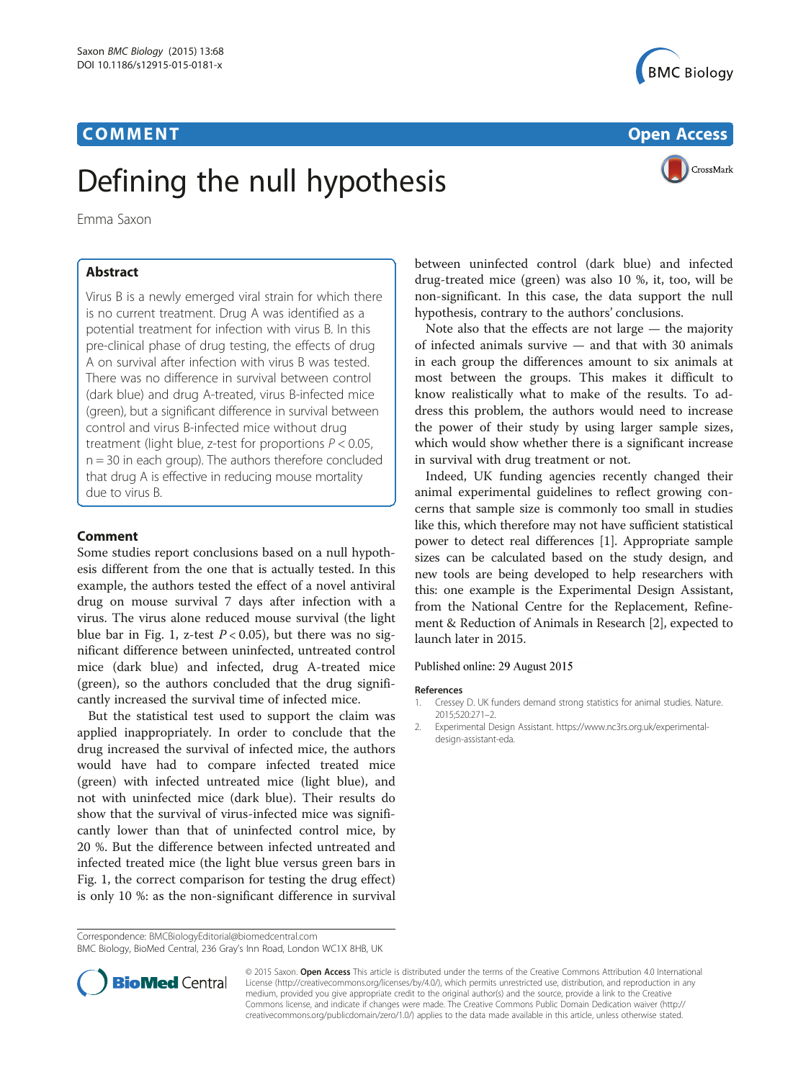



# Defining the null hypothesis

Emma Saxon

Virus B is a newly emerged viral strain for which there is no current treatment. Drug A was identified as a potential treatment for infection with virus B. In this pre-clinical phase of drug testing, the effects of drug A on survival after infection with virus B was tested. There was no difference in survival between control (dark blue) and drug A-treated, virus B-infected mice (green), but a significant difference in survival between control and virus B-infected mice without drug treatment (light blue, z-test for proportions  $P < 0.05$ ,  $n = 30$  in each group). The authors therefore concluded that drug A is effective in reducing mouse mortality due to virus B.

# **Comment**

Some studies report conclusions based on a null hypothesis different from the one that is actually tested. In this example, the authors tested the effect of a novel antiviral drug on mouse survival 7 days after infection with a virus. The virus alone reduced mouse survival (the light blue bar in Fig. [1](#page-1-0), z-test  $P < 0.05$ ), but there was no significant difference between uninfected, untreated control mice (dark blue) and infected, drug A-treated mice (green), so the authors concluded that the drug significantly increased the survival time of infected mice.

But the statistical test used to support the claim was applied inappropriately. In order to conclude that the drug increased the survival of infected mice, the authors would have had to compare infected treated mice (green) with infected untreated mice (light blue), and not with uninfected mice (dark blue). Their results do show that the survival of virus-infected mice was significantly lower than that of uninfected control mice, by 20 %. But the difference between infected untreated and infected treated mice (the light blue versus green bars in Fig. [1](#page-1-0), the correct comparison for testing the drug effect) is only 10 %: as the non-significant difference in survival

Correspondence: [BMCBiologyEditorial@biomedcentral.com](mailto:BMCBiologyEditorial@biomedcentral.com)

BMC Biology, BioMed Central, 236 Gray's Inn Road, London WC1X 8HB, UK



Note also that the effects are not large — the majority of infected animals survive — and that with 30 animals in each group the differences amount to six animals at most between the groups. This makes it difficult to know realistically what to make of the results. To address this problem, the authors would need to increase the power of their study by using larger sample sizes, which would show whether there is a significant increase in survival with drug treatment or not.

Indeed, UK funding agencies recently changed their animal experimental guidelines to reflect growing concerns that sample size is commonly too small in studies like this, which therefore may not have sufficient statistical power to detect real differences [1]. Appropriate sample sizes can be calculated based on the study design, and new tools are being developed to help researchers with this: one example is the Experimental Design Assistant, from the National Centre for the Replacement, Refinement & Reduction of Animals in Research [2], expected to launch later in 2015.

## Published online: 29 August 2015

## References

- 1. Cressey D. UK funders demand strong statistics for animal studies. Nature. 2015;520:271–2.
- 2. Experimental Design Assistant. [https://www.nc3rs.org.uk/experimental](https://www.nc3rs.org.uk/experimental-design-assistant-eda)[design-assistant-eda](https://www.nc3rs.org.uk/experimental-design-assistant-eda).



© 2015 Saxon. Open Access This article is distributed under the terms of the Creative Commons Attribution 4.0 International License ([http://creativecommons.org/licenses/by/4.0/\)](http://creativecommons.org/licenses/by/4.0/), which permits unrestricted use, distribution, and reproduction in any medium, provided you give appropriate credit to the original author(s) and the source, provide a link to the Creative Commons license, and indicate if changes were made. The Creative Commons Public Domain Dedication waiver ([http://](http://creativecommons.org/publicdomain/zero/1.0/) [creativecommons.org/publicdomain/zero/1.0/\)](http://creativecommons.org/publicdomain/zero/1.0/) applies to the data made available in this article, unless otherwise stated.